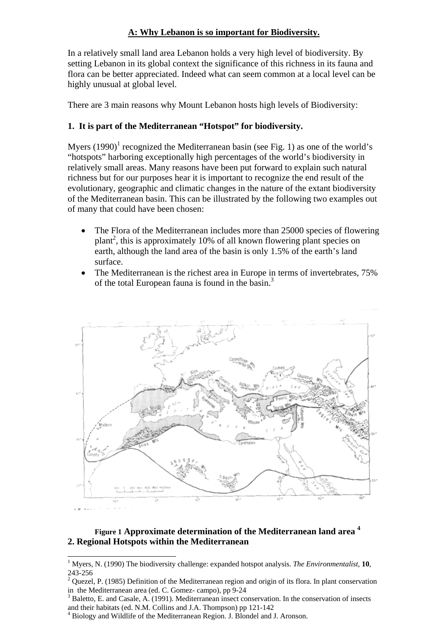# **A: Why Lebanon is so important for Biodiversity.**

In a relatively small land area Lebanon holds a very high level of biodiversity. By setting Lebanon in its global context the significance of this richness in its fauna and flora can be better appreciated. Indeed what can seem common at a local level can be highly unusual at global level.

There are 3 main reasons why Mount Lebanon hosts high levels of Biodiversity:

### **1. It is part of the Mediterranean "Hotspot" for biodiversity.**

Myers  $(1990)^1$  recognized the Mediterranean basin (see Fig. 1) as one of the world's "hotspots" harboring exceptionally high percentages of the world's biodiversity in relatively small areas. Many reasons have been put forward to explain such natural richness but for our purposes hear it is important to recognize the end result of the evolutionary, geographic and climatic changes in the nature of the extant biodiversity of the Mediterranean basin. This can be illustrated by the following two examples out of many that could have been chosen:

- The Flora of the Mediterranean includes more than 25000 species of flowering plant<sup>2</sup>, this is approximately 10% of all known flowering plant species on earth, although the land area of the basin is only 1.5% of the earth's land surface.
- The Mediterranean is the richest area in Europe in terms of invertebrates, 75% of the total European fauna is found in the basin.<sup>3</sup>



## **Figure 1 Approximate determination of the Mediterranean land area 4 2. Regional Hotspots within the Mediterranean**

 $\overline{a}$ 1 Myers, N. (1990) The biodiversity challenge: expanded hotspot analysis. *The Environmentalist,* **10**, 243-256

<sup>&</sup>lt;sup>2</sup> Quezel, P. (1985) Definition of the Mediterranean region and origin of its flora. In plant conservation in the Mediterranean area (ed. C. Gomez- campo), pp 9-24

Baletto, E. and Casale, A. (1991). Mediterranean insect conservation. In the conservation of insects and their habitats (ed. N.M. Collins and J.A. Thompson) pp 121-142

<sup>&</sup>lt;sup>4</sup> Biology and Wildlife of the Mediterranean Region. J. Blondel and J. Aronson.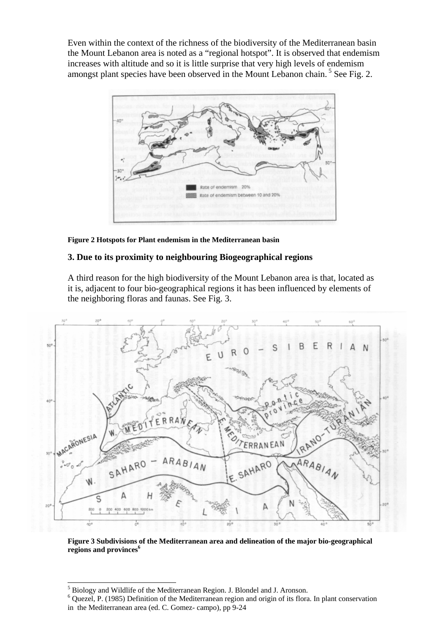Even within the context of the richness of the biodiversity of the Mediterranean basin the Mount Lebanon area is noted as a "regional hotspot". It is observed that endemism increases with altitude and so it is little surprise that very high levels of endemism amongst plant species have been observed in the Mount Lebanon chain.<sup>5</sup> See Fig. 2.



**Figure 2 Hotspots for Plant endemism in the Mediterranean basin** 

### **3. Due to its proximity to neighbouring Biogeographical regions**

A third reason for the high biodiversity of the Mount Lebanon area is that, located as it is, adjacent to four bio-geographical regions it has been influenced by elements of the neighboring floras and faunas. See Fig. 3.



**Figure 3 Subdivisions of the Mediterranean area and delineation of the major bio-geographical**  regions and provinces<sup>6</sup>

 $\overline{a}$ 

<sup>&</sup>lt;sup>5</sup> Biology and Wildlife of the Mediterranean Region. J. Blondel and J. Aronson.

 $6$  Quezel, P. (1985) Definition of the Mediterranean region and origin of its flora. In plant conservation in the Mediterranean area (ed. C. Gomez- campo), pp 9-24